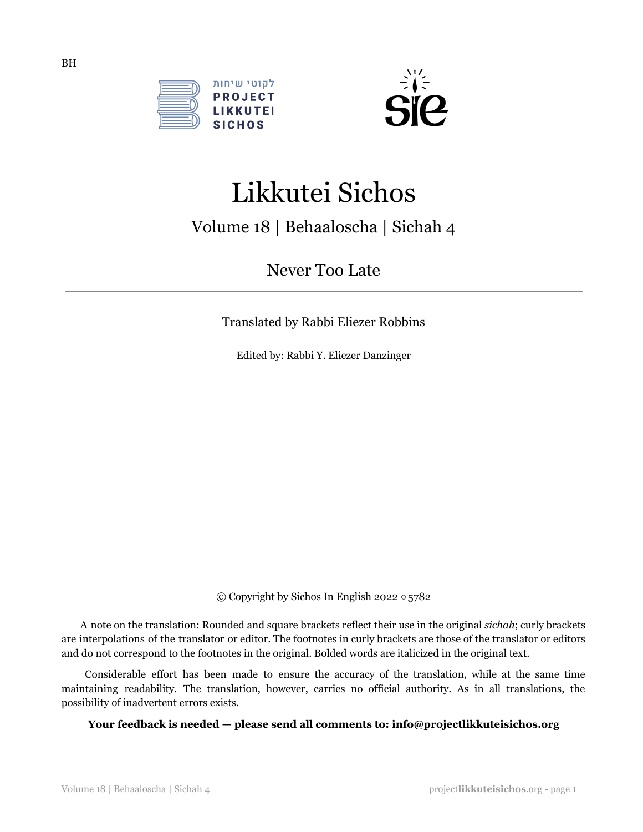



# Likkutei Sichos

## Volume 18 | Behaaloscha | Sichah 4

Never Too Late

Translated by Rabbi Eliezer Robbins

Edited by: Rabbi Y. Eliezer Danzinger

© Copyright by Sichos In English 2022 ○5782

A note on the translation: Rounded and square brackets reflect their use in the original *sichah*; curly brackets are interpolations of the translator or editor. The footnotes in curly brackets are those of the translator or editors and do not correspond to the footnotes in the original. Bolded words are italicized in the original text.

Considerable effort has been made to ensure the accuracy of the translation, while at the same time maintaining readability. The translation, however, carries no official authority. As in all translations, the possibility of inadvertent errors exists.

**Your feedback is needed — please send all comments to: info@projectlikkuteisichos.org**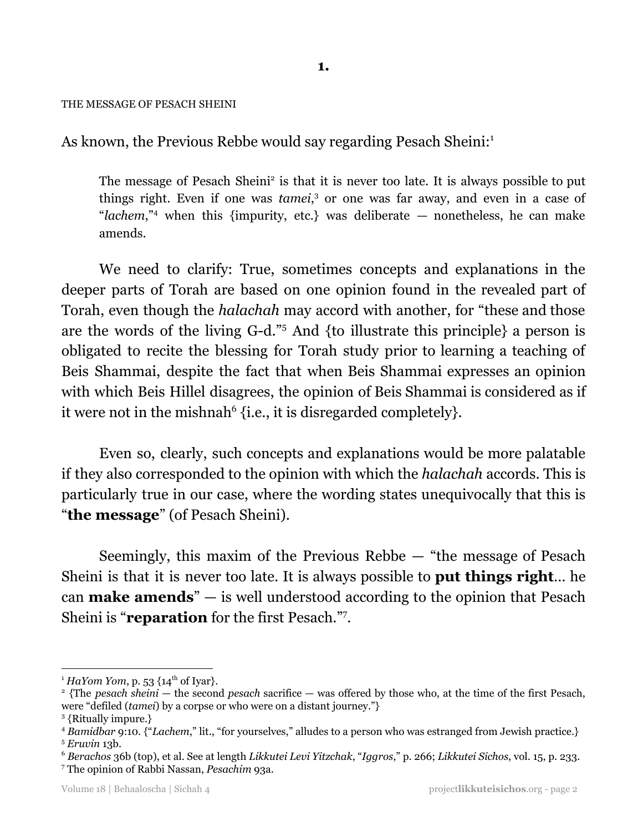#### THE MESSAGE OF PESACH SHEINI

As known, the Previous Rebbe would say regarding Pesach Sheini: 1

The message of Pesach Sheini<sup>2</sup> is that it is never too late. It is always possible to put things right. Even if one was *tamei*,<sup>3</sup> or one was far away, and even in a case of "*lachem*,"<sup>4</sup> when this {impurity, etc.} was deliberate  $-$  nonetheless, he can make amends.

We need to clarify: True, sometimes concepts and explanations in the deeper parts of Torah are based on one opinion found in the revealed part of Torah, even though the *halachah* may accord with another, for "these and those are the words of the living G-d."<sup>5</sup> And {to illustrate this principle} a person is obligated to recite the blessing for Torah study prior to learning a teaching of Beis Shammai, despite the fact that when Beis Shammai expresses an opinion with which Beis Hillel disagrees, the opinion of Beis Shammai is considered as if it were not in the mishnah $^{6}$  {i.e., it is disregarded completely}.

Even so, clearly, such concepts and explanations would be more palatable if they also corresponded to the opinion with which the *halachah* accords. This is particularly true in our case, where the wording states unequivocally that this is "**the message**" (of Pesach Sheini).

Seemingly, this maxim of the Previous Rebbe — "the message of Pesach Sheini is that it is never too late. It is always possible to **put things right**… he can **make amends**" — is well understood according to the opinion that Pesach Sheini is "**reparation** for the first Pesach."7.

<sup>&</sup>lt;sup>1</sup> *HaYom Yom*, p. 53  $\{14<sup>th</sup>$  of Iyar}.

<sup>2</sup> {The *pesach sheini* — the second *pesach* sacrifice — was offered by those who, at the time of the first Pesach, were "defiled (*tamei*) by a corpse or who were on a distant journey."}

<sup>3</sup> {Ritually impure.}

<sup>5</sup> *Eruvin* 13b. <sup>4</sup> *Bamidbar* 9:10. {"*Lachem*," lit., "for yourselves," alludes to a person who was estranged from Jewish practice.}

<sup>6</sup> *Berachos* 36b (top), et al. See at length *Likkutei Levi Yitzchak*, "*Iggros*," p. 266; *Likkutei Sichos*, vol. 15, p. 233.

<sup>7</sup> The opinion of Rabbi Nassan, *Pesachim* 93a.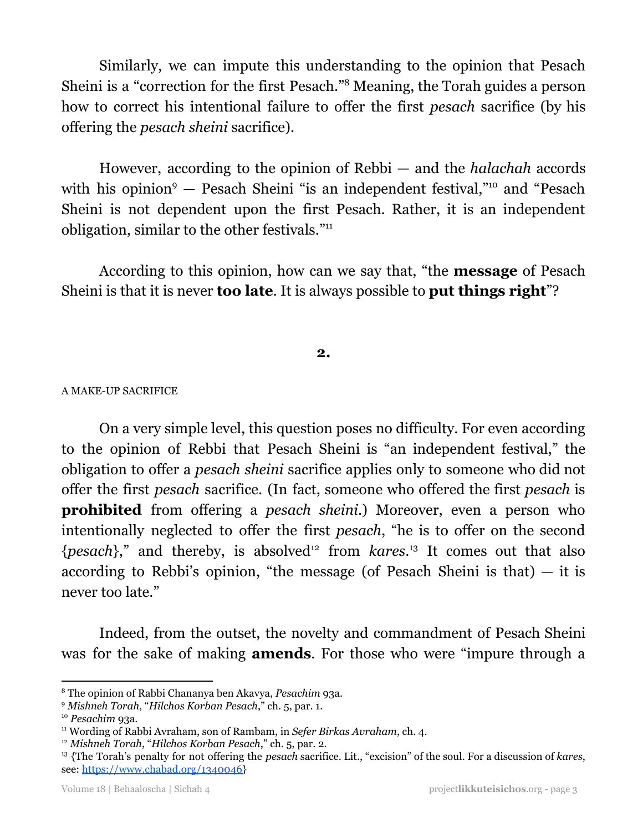Similarly, we can impute this understanding to the opinion that Pesach Sheini is a "correction for the first Pesach."<sup>8</sup> Meaning, the Torah guides a person how to correct his intentional failure to offer the first *pesach* sacrifice (by his offering the *pesach sheini* sacrifice).

However, according to the opinion of Rebbi — and the *halachah* accords with his opinion<sup>9</sup>  $-$  Pesach Sheini "is an independent festival,"<sup>10</sup> and "Pesach Sheini is not dependent upon the first Pesach. Rather, it is an independent obligation, similar to the other festivals."<sup>11</sup>

According to this opinion, how can we say that, "the **message** of Pesach Sheini is that it is never **too late**. It is always possible to **put things right**"?

## **2.**

#### A MAKE-UP SACRIFICE

On a very simple level, this question poses no difficulty. For even according to the opinion of Rebbi that Pesach Sheini is "an independent festival," the obligation to offer a *pesach sheini* sacrifice applies only to someone who did not offer the first *pesach* sacrifice. (In fact, someone who offered the first *pesach* is **prohibited** from offering a *pesach sheini*.) Moreover, even a person who intentionally neglected to offer the first *pesach*, "he is to offer on the second {*pesach*}," and thereby, is absolved<sup>12</sup> from *kares*.<sup>13</sup> It comes out that also according to Rebbi's opinion, "the message (of Pesach Sheini is that)  $-$  it is never too late."

Indeed, from the outset, the novelty and commandment of Pesach Sheini was for the sake of making **amends**. For those who were "impure through a

<sup>8</sup> The opinion of Rabbi Chananya ben Akavya, *Pesachim* 93a.

<sup>9</sup> *Mishneh Torah*, "*Hilchos Korban Pesach*," ch. 5, par. 1.

<sup>10</sup> *Pesachim* 93a.

<sup>11</sup> Wording of Rabbi Avraham, son of Rambam, in *Sefer Birkas Avraham*, ch. 4.

<sup>12</sup> *Mishneh Torah*, "*Hilchos Korban Pesach*," ch. 5, par. 2.

<sup>13</sup> {The Torah's penalty for not offering the *pesach* sacrifice. Lit., "excision" of the soul. For a discussion of *kares*, see: [https://www.chabad.org/1340046}](https://www.chabad.org/library/article_cdo/aid/1340046/jewish/Karet-Can-Someone-Be-Cut-Off-From-G-d.htm)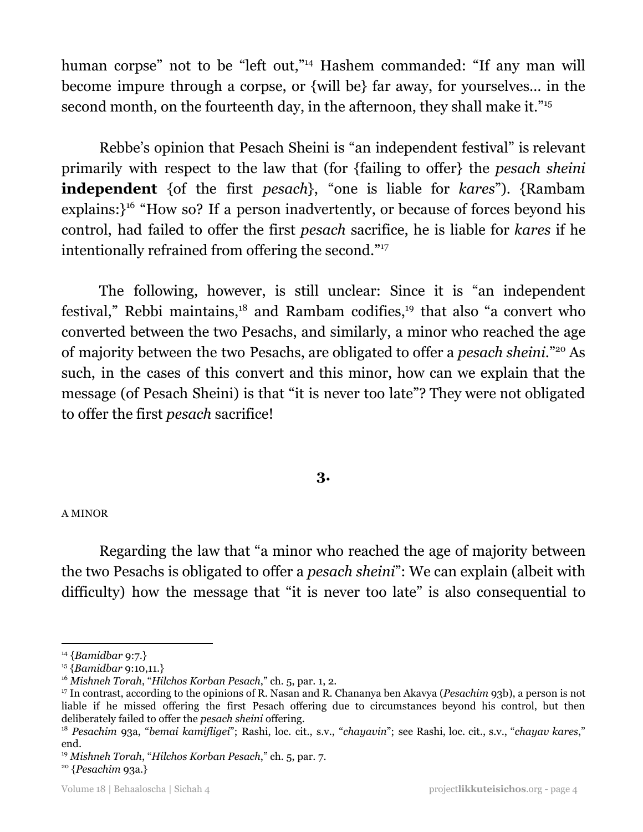human corpse" not to be "left out,"<sup>14</sup> Hashem commanded: "If any man will become impure through a corpse, or {will be} far away, for yourselves… in the second month, on the fourteenth day, in the afternoon, they shall make it."<sup>15</sup>

Rebbe's opinion that Pesach Sheini is "an independent festival" is relevant primarily with respect to the law that (for {failing to offer} the *pesach sheini* **independent** {of the first *pesach*}, "one is liable for *kares*"). {Rambam  $explains$ : $}$ <sup>16</sup> "How so? If a person inadvertently, or because of forces beyond his control, had failed to offer the first *pesach* sacrifice, he is liable for *kares* if he intentionally refrained from offering the second." 17

The following, however, is still unclear: Since it is "an independent festival," Rebbi maintains, $18$  and Rambam codifies, $19$  that also "a convert who converted between the two Pesachs, and similarly, a minor who reached the age of majority between the two Pesachs, are obligated to offer a *pesach sheini*."<sup>20</sup> As such, in the cases of this convert and this minor, how can we explain that the message (of Pesach Sheini) is that "it is never too late"? They were not obligated to offer the first *pesach* sacrifice!

## **3.**

#### A MINOR

Regarding the law that "a minor who reached the age of majority between the two Pesachs is obligated to offer a *pesach sheini*": We can explain (albeit with difficulty) how the message that "it is never too late" is also consequential to

<sup>14</sup> {*Bamidbar* 9:7.}

<sup>15</sup> {*Bamidbar* 9:10,11.}

<sup>16</sup> *Mishneh Torah*, "*Hilchos Korban Pesach*," ch. 5, par. 1, 2.

<sup>17</sup> In contrast, according to the opinions of R. Nasan and R. Chananya ben Akavya (*Pesachim* 93b), a person is not liable if he missed offering the first Pesach offering due to circumstances beyond his control, but then deliberately failed to offer the *pesach sheini* offering.

<sup>18</sup> *Pesachim* 93a, "*bemai kamifligei*"; Rashi, loc. cit., s.v., "*chayavin*"; see Rashi, loc. cit., s.v., "*chayav kares*," end.

<sup>19</sup> *Mishneh Torah*, "*Hilchos Korban Pesach*," ch. 5, par. 7.

<sup>20</sup> {*Pesachim* 93a.}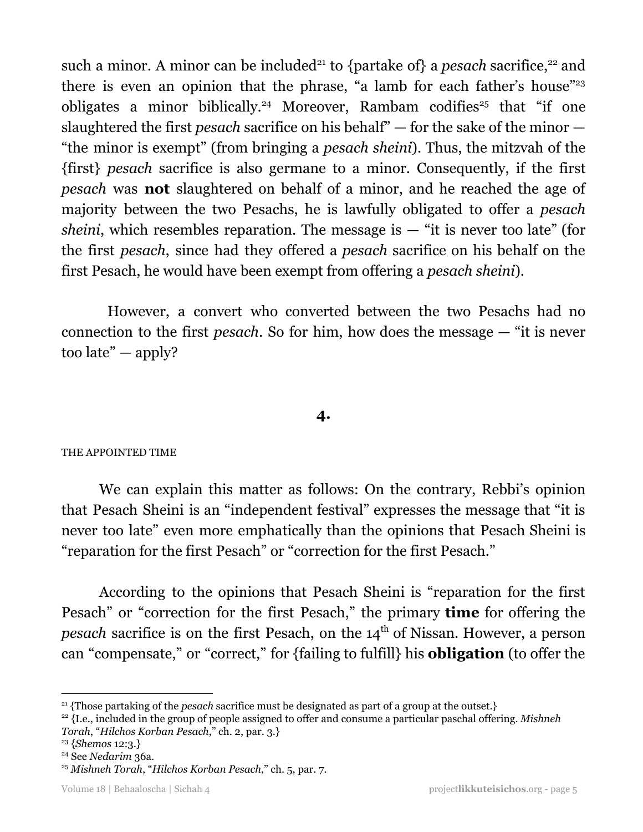such a minor. A minor can be included<sup>21</sup> to {partake of} a *pesach* sacrifice,<sup>22</sup> and there is even an opinion that the phrase, "a lamb for each father's house" 23 obligates a minor biblically.<sup>24</sup> Moreover, Rambam codifies<sup>25</sup> that "if one slaughtered the first *pesach* sacrifice on his behalf" — for the sake of the minor — "the minor is exempt" (from bringing a *pesach sheini*). Thus, the mitzvah of the {first} *pesach* sacrifice is also germane to a minor. Consequently, if the first *pesach* was **not** slaughtered on behalf of a minor, and he reached the age of majority between the two Pesachs, he is lawfully obligated to offer a *pesach sheini*, which resembles reparation. The message is  $-$  "it is never too late" (for the first *pesach*, since had they offered a *pesach* sacrifice on his behalf on the first Pesach, he would have been exempt from offering a *pesach sheini*).

However, a convert who converted between the two Pesachs had no connection to the first *pesach*. So for him, how does the message — "it is never too late" — apply?

## **4.**

## THE APPOINTED TIME

We can explain this matter as follows: On the contrary, Rebbi's opinion that Pesach Sheini is an "independent festival" expresses the message that "it is never too late" even more emphatically than the opinions that Pesach Sheini is "reparation for the first Pesach" or "correction for the first Pesach."

According to the opinions that Pesach Sheini is "reparation for the first Pesach" or "correction for the first Pesach," the primary **time** for offering the pesach sacrifice is on the first Pesach, on the 14<sup>th</sup> of Nissan. However, a person can "compensate," or "correct," for {failing to fulfill} his **obligation** (to offer the

<sup>&</sup>lt;sup>21</sup> {Those partaking of the *pesach* sacrifice must be designated as part of a group at the outset.}

<sup>22</sup> {I.e., included in the group of people assigned to offer and consume a particular paschal offering. *Mishneh Torah*, "*Hilchos Korban Pesach*," ch. 2, par. 3.}

<sup>23</sup> {*Shemos* 12:3.}

<sup>&</sup>lt;sup>24</sup> See *Nedarim* 36a.

<sup>25</sup> *Mishneh Torah*, "*Hilchos Korban Pesach*," ch. 5, par. 7.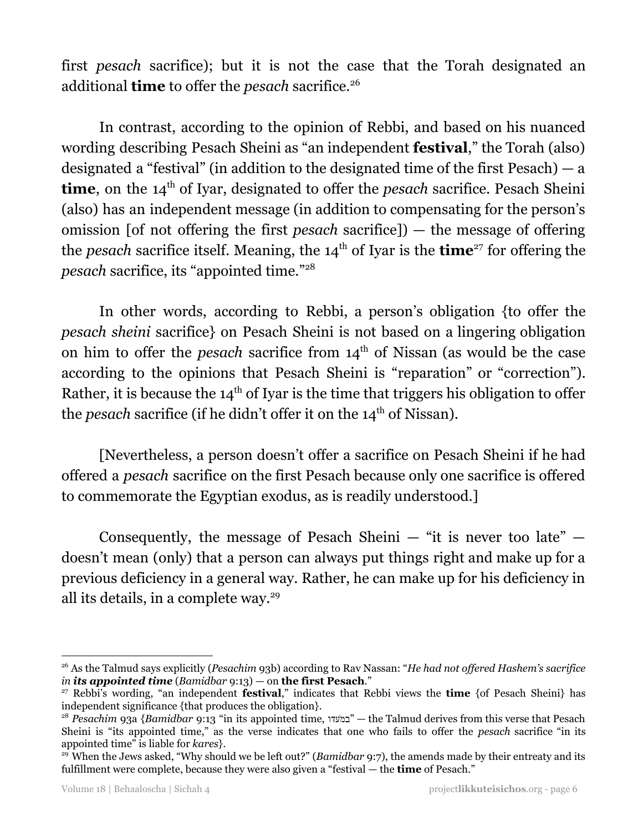first *pesach* sacrifice); but it is not the case that the Torah designated an additional **time** to offer the *pesach* sacrifice. 26

In contrast, according to the opinion of Rebbi, and based on his nuanced wording describing Pesach Sheini as "an independent **festival**," the Torah (also) designated a "festival" (in addition to the designated time of the first Pesach)  $- a$ **time**, on the 14<sup>th</sup> of Iyar, designated to offer the *pesach* sacrifice. Pesach Sheini (also) has an independent message (in addition to compensating for the person's omission [of not offering the first *pesach* sacrifice]) — the message of offering the *pesach* sacrifice itself. Meaning, the 14<sup>th</sup> of Iyar is the **time**<sup>27</sup> for offering the *pesach* sacrifice, its "appointed time." 28

In other words, according to Rebbi, a person's obligation {to offer the *pesach sheini* sacrifice} on Pesach Sheini is not based on a lingering obligation on him to offer the *pesach* sacrifice from  $14<sup>th</sup>$  of Nissan (as would be the case according to the opinions that Pesach Sheini is "reparation" or "correction"). Rather, it is because the  $14<sup>th</sup>$  of Iyar is the time that triggers his obligation to offer the *pesach* sacrifice (if he didn't offer it on the 14<sup>th</sup> of Nissan).

[Nevertheless, a person doesn't offer a sacrifice on Pesach Sheini if he had offered a *pesach* sacrifice on the first Pesach because only one sacrifice is offered to commemorate the Egyptian exodus, as is readily understood.]

Consequently, the message of Pesach Sheini  $-$  "it is never too late"  $$ doesn't mean (only) that a person can always put things right and make up for a previous deficiency in a general way. Rather, he can make up for his deficiency in all its details, in a complete way. 29

<sup>26</sup> As the Talmud says explicitly (*Pesachim* 93b) according to Rav Nassan: "*He had not of ered Hashem's sacrifice in its appointed time* (*Bamidbar* 9:13) — on **the first Pesach**."

<sup>27</sup> Rebbi's wording, "an independent **festival**," indicates that Rebbi views the **time** {of Pesach Sheini} has independent significance {that produces the obligation}.

<sup>&</sup>lt;sup>28</sup> *Pesachim* 93a {*Bamidbar* 9:13 "in its appointed time, "במעדו" — the Talmud derives from this verse that Pesach Sheini is "its appointed time," as the verse indicates that one who fails to offer the *pesach* sacrifice "in its appointed time" is liable for *kares*}.

<sup>&</sup>lt;sup>29</sup> When the Jews asked, "Why should we be left out?" (*Bamidbar* 9:7), the amends made by their entreaty and its fulfillment were complete, because they were also given a "festival — the **time** of Pesach."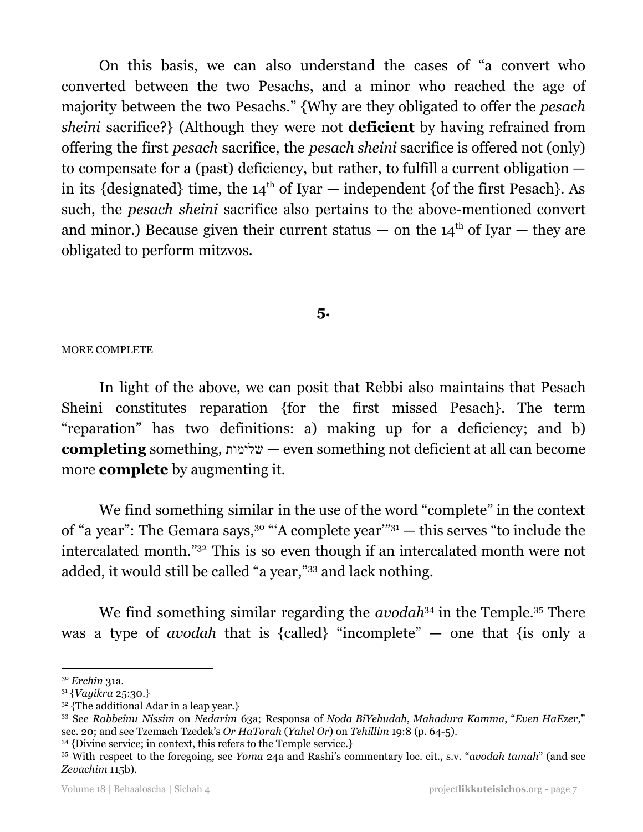On this basis, we can also understand the cases of "a convert who converted between the two Pesachs, and a minor who reached the age of majority between the two Pesachs." {Why are they obligated to offer the *pesach sheini* sacrifice?} (Although they were not **deficient** by having refrained from offering the first *pesach* sacrifice, the *pesach sheini* sacrifice is offered not (only) to compensate for a (past) deficiency, but rather, to fulfill a current obligation in its {designated} time, the  $14<sup>th</sup>$  of Iyar — independent {of the first Pesach}. As such, the *pesach sheini* sacrifice also pertains to the above-mentioned convert and minor.) Because given their current status  $-$  on the 14<sup>th</sup> of Iyar  $-$  they are obligated to perform mitzvos.

## **5.**

#### MORE COMPLETE

In light of the above, we can posit that Rebbi also maintains that Pesach Sheini constitutes reparation {for the first missed Pesach}. The term "reparation" has two definitions: a) making up for a deficiency; and b) **completing** something, שלימות — even something not deficient at all can become more **complete** by augmenting it.

We find something similar in the use of the word "complete" in the context of "a year": The Gemara says,<sup>30</sup> "A complete year"<sup>31</sup>  $-$  this serves "to include the intercalated month."<sup>32</sup> This is so even though if an intercalated month were not added, it would still be called "a year,"<sup>33</sup> and lack nothing.

We find something similar regarding the *avodah*<sup>34</sup> in the Temple.<sup>35</sup> There was a type of *avodah* that is {called} "incomplete" — one that {is only a

<sup>30</sup> *Erchin* 31a.

<sup>31</sup> {*Vayikra* 25:30.}

 $32$  {The additional Adar in a leap year.}

<sup>33</sup> See *Rabbeinu Nissim* on *Nedarim* 63a; Responsa of *Noda BiYehudah*, *Mahadura Kamma*, "*Even HaEzer*," sec. 20; and see Tzemach Tzedek's *Or HaTorah* (*Yahel Or*) on *Tehillim* 19:8 (p. 64-5).

<sup>&</sup>lt;sup>34</sup> {Divine service; in context, this refers to the Temple service.}

<sup>35</sup> With respect to the foregoing, see *Yoma* 24a and Rashi's commentary loc. cit., s.v. "*avodah tamah*" (and see *Zevachim* 115b).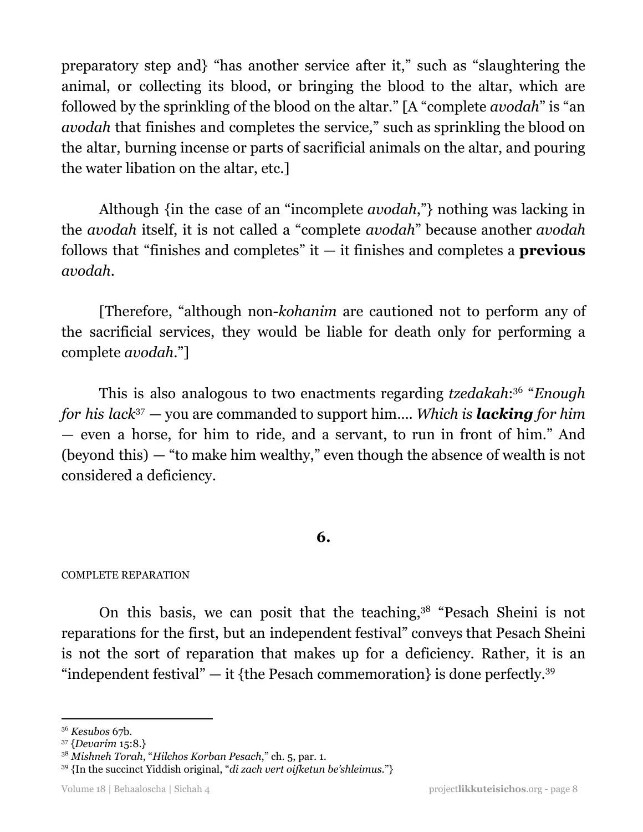preparatory step and} "has another service after it," such as "slaughtering the animal, or collecting its blood, or bringing the blood to the altar, which are followed by the sprinkling of the blood on the altar." [A "complete *avodah*" is "an *avodah* that finishes and completes the service*,*" such as sprinkling the blood on the altar, burning incense or parts of sacrificial animals on the altar, and pouring the water libation on the altar, etc.]

Although {in the case of an "incomplete *avodah*,"} nothing was lacking in the *avodah* itself, it is not called a "complete *avodah*" because another *avodah* follows that "finishes and completes" it — it finishes and completes a **previous** *avodah*.

[Therefore, "although non-*kohanim* are cautioned not to perform any of the sacrificial services, they would be liable for death only for performing a complete *avodah*."]

This is also analogous to two enactments regarding *tzedakah*:<sup>36</sup> "Enough *for his lack* <sup>37</sup> — you are commanded to support him…. *Which is lacking for him* — even a horse, for him to ride, and a servant, to run in front of him." And (beyond this) — "to make him wealthy," even though the absence of wealth is not considered a deficiency.

## **6.**

## COMPLETE REPARATION

On this basis, we can posit that the teaching,<sup>38</sup> "Pesach Sheini is not reparations for the first, but an independent festival" conveys that Pesach Sheini is not the sort of reparation that makes up for a deficiency. Rather, it is an "independent festival"  $-$  it {the Pesach commemoration} is done perfectly.<sup>39</sup>

<sup>36</sup> *Kesubos* 67b.

<sup>37</sup> {*Devarim* 15:8.}

<sup>38</sup> *Mishneh Torah*, "*Hilchos Korban Pesach*," ch. 5, par. 1.

<sup>39</sup> {In the succinct Yiddish original, "*di zach vert oifketun be'shleimus*."}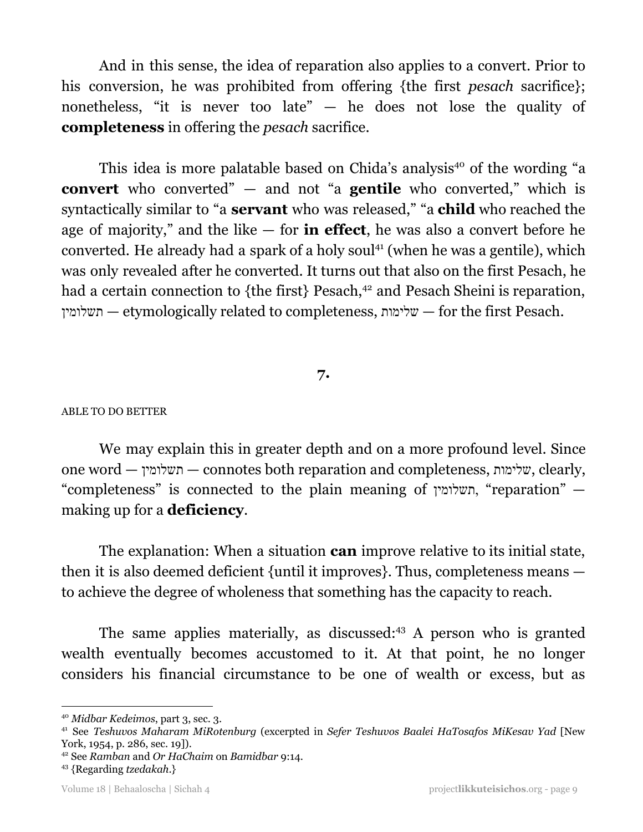And in this sense, the idea of reparation also applies to a convert. Prior to his conversion, he was prohibited from offering {the first *pesach* sacrifice}; nonetheless, "it is never too late" — he does not lose the quality of **completeness** in offering the *pesach* sacrifice.

This idea is more palatable based on Chida's analysis<sup>40</sup> of the wording "a **convert** who converted" — and not "a **gentile** who converted," which is syntactically similar to "a **servant** who was released," "a **child** who reached the age of majority," and the like — for **in effect**, he was also a convert before he converted. He already had a spark of a holy soul<sup>41</sup> (when he was a gentile), which was only revealed after he converted. It turns out that also on the first Pesach, he had a certain connection to {the first} Pesach,<sup>42</sup> and Pesach Sheini is reparation, תשלומין — etymologically related to completeness, שלימות — for the first Pesach.

## **7.**

#### ABLE TO DO BETTER

We may explain this in greater depth and on a more profound level. Since one word — תשלומין — connotes both reparation and completeness, שלימות, clearly, "completeness" is connected to the plain meaning of תשלומין," reparation" making up for a **deficiency**.

The explanation: When a situation **can** improve relative to its initial state, then it is also deemed deficient {until it improves}. Thus, completeness means to achieve the degree of wholeness that something has the capacity to reach.

The same applies materially, as discussed:<sup>43</sup> A person who is granted wealth eventually becomes accustomed to it. At that point, he no longer considers his financial circumstance to be one of wealth or excess, but as

<sup>40</sup> *Midbar Kedeimos*, part 3, sec. 3.

<sup>41</sup> See *Teshuvos Maharam MiRotenburg* (excerpted in *Sefer Teshuvos Baalei HaTosafos MiKesav Yad* [New York, 1954, p. 286, sec. 19]).

<sup>42</sup> See *Ramban* and *Or HaChaim* on *Bamidbar* 9:14.

<sup>43</sup> {Regarding *tzedakah*.}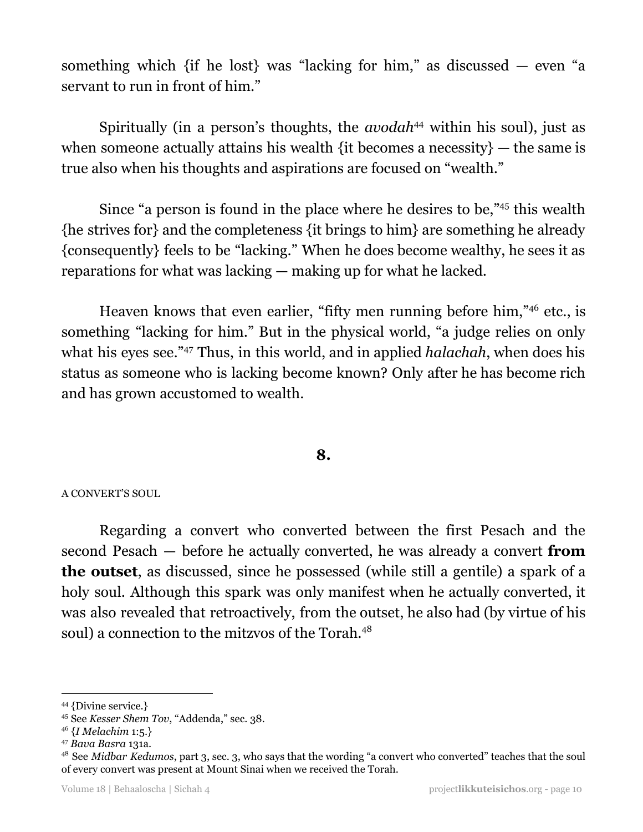something which {if he lost} was "lacking for him," as discussed  $-$  even "a servant to run in front of him."

Spiritually (in a person's thoughts, the *avodah*<sup>44</sup> within his soul), just as when someone actually attains his wealth {it becomes a necessity} — the same is true also when his thoughts and aspirations are focused on "wealth."

Since "a person is found in the place where he desires to be,"<sup>45</sup> this wealth {he strives for} and the completeness {it brings to him} are something he already {consequently} feels to be "lacking." When he does become wealthy, he sees it as reparations for what was lacking — making up for what he lacked.

Heaven knows that even earlier, "fifty men running before him,"<sup>46</sup> etc., is something "lacking for him." But in the physical world, "a judge relies on only what his eyes see."<sup>47</sup> Thus, in this world, and in applied *halachah*, when does his status as someone who is lacking become known? Only after he has become rich and has grown accustomed to wealth.

## **8.**

#### A CONVERT'S SOUL

Regarding a convert who converted between the first Pesach and the second Pesach — before he actually converted, he was already a convert **from the outset**, as discussed, since he possessed (while still a gentile) a spark of a holy soul. Although this spark was only manifest when he actually converted, it was also revealed that retroactively, from the outset, he also had (by virtue of his soul) a connection to the mitzvos of the Torah.<sup>48</sup>

<sup>44</sup> {Divine service.}

<sup>45</sup> See *Kesser Shem Tov*, "Addenda," sec. 38.

<sup>46</sup> {*I Melachim* 1:5.}

<sup>47</sup> *Bava Basra* 131a.

<sup>48</sup> See *Midbar Kedumos*, part 3, sec. 3, who says that the wording "a convert who converted" teaches that the soul of every convert was present at Mount Sinai when we received the Torah.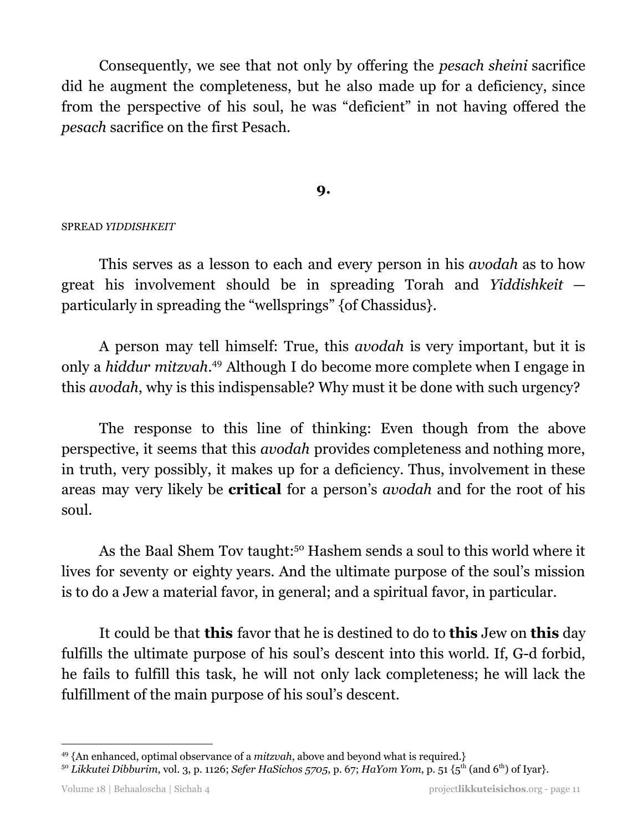Consequently, we see that not only by offering the *pesach sheini* sacrifice did he augment the completeness, but he also made up for a deficiency, since from the perspective of his soul, he was "deficient" in not having offered the *pesach* sacrifice on the first Pesach.

## **9.**

#### SPREAD *YIDDISHKEIT*

This serves as a lesson to each and every person in his *avodah* as to how great his involvement should be in spreading Torah and *Yiddishkeit* particularly in spreading the "wellsprings" {of Chassidus}.

A person may tell himself: True, this *avodah* is very important, but it is only a *hiddur mitzvah*.<sup>49</sup> Although I do become more complete when I engage in this *avodah*, why is this indispensable? Why must it be done with such urgency?

The response to this line of thinking: Even though from the above perspective, it seems that this *avodah* provides completeness and nothing more, in truth, very possibly, it makes up for a deficiency. Thus, involvement in these areas may very likely be **critical** for a person's *avodah* and for the root of his soul.

As the Baal Shem Tov taught:<sup>50</sup> Hashem sends a soul to this world where it lives for seventy or eighty years. And the ultimate purpose of the soul's mission is to do a Jew a material favor, in general; and a spiritual favor, in particular.

It could be that **this** favor that he is destined to do to **this** Jew on **this** day fulfills the ultimate purpose of his soul's descent into this world. If, G-d forbid, he fails to fulfill this task, he will not only lack completeness; he will lack the fulfillment of the main purpose of his soul's descent.

<sup>49</sup> {An enhanced, optimal observance of a *mitzvah*, above and beyond what is required.}

<sup>50</sup> *Likkutei Dibburim*, vol. 3, p. 1126; *Sefer HaSichos 5705*, p. 67; *HaYom Yom*, p. 51 {5 th (and 6 th) of Iyar}.